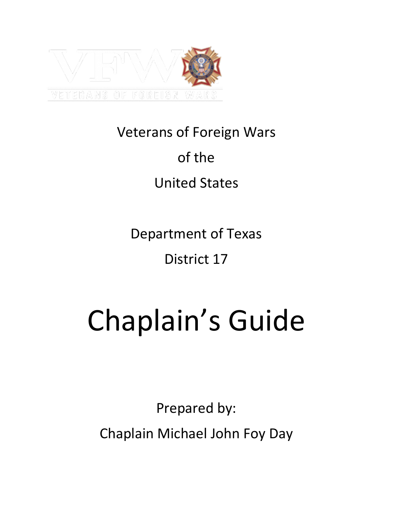

# Veterans of Foreign Wars of the

# United States

Department of Texas

# District 17

# Chaplain's Guide

Prepared by: Chaplain Michael John Foy Day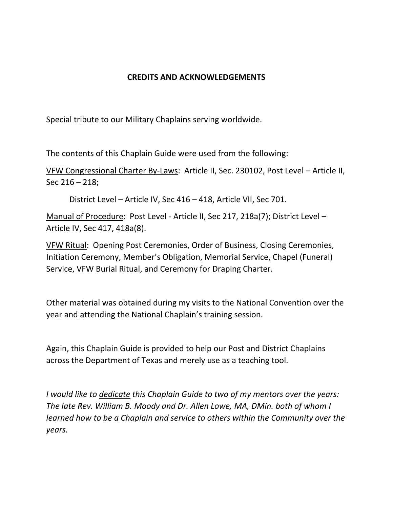#### **CREDITS AND ACKNOWLEDGEMENTS**

Special tribute to our Military Chaplains serving worldwide.

The contents of this Chaplain Guide were used from the following:

VFW Congressional Charter By-Laws: Article II, Sec. 230102, Post Level – Article II, Sec 216 – 218;

District Level – Article IV, Sec 416 – 418, Article VII, Sec 701.

Manual of Procedure: Post Level - Article II, Sec 217, 218a(7); District Level – Article IV, Sec 417, 418a(8).

VFW Ritual: Opening Post Ceremonies, Order of Business, Closing Ceremonies, Initiation Ceremony, Member's Obligation, Memorial Service, Chapel (Funeral) Service, VFW Burial Ritual, and Ceremony for Draping Charter.

Other material was obtained during my visits to the National Convention over the year and attending the National Chaplain's training session.

Again, this Chaplain Guide is provided to help our Post and District Chaplains across the Department of Texas and merely use as a teaching tool.

*I would like to dedicate this Chaplain Guide to two of my mentors over the years: The late Rev. William B. Moody and Dr. Allen Lowe, MA, DMin. both of whom I learned how to be a Chaplain and service to others within the Community over the years.*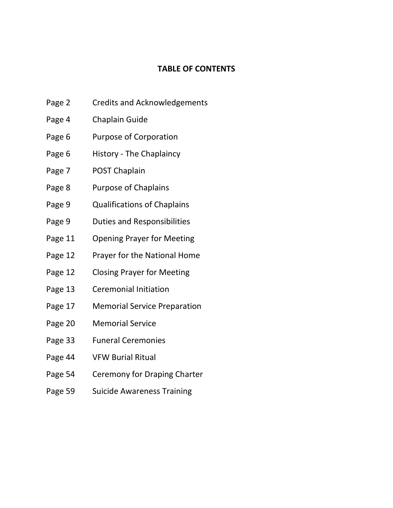#### **TABLE OF CONTENTS**

- Page 2 Credits and Acknowledgements
- Page 4 Chaplain Guide
- Page 6 Purpose of Corporation
- Page 6 History The Chaplaincy
- Page 7 POST Chaplain
- Page 8 Purpose of Chaplains
- Page 9 Qualifications of Chaplains
- Page 9 Duties and Responsibilities
- Page 11 Opening Prayer for Meeting
- Page 12 Prayer for the National Home
- Page 12 Closing Prayer for Meeting
- Page 13 Ceremonial Initiation
- Page 17 Memorial Service Preparation
- Page 20 Memorial Service
- Page 33 Funeral Ceremonies
- Page 44 VFW Burial Ritual
- Page 54 Ceremony for Draping Charter
- Page 59 Suicide Awareness Training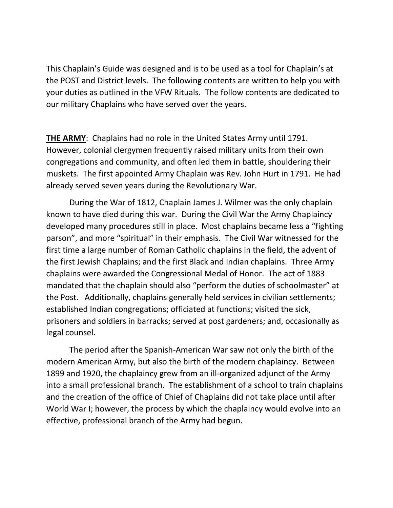This Chaplain's Guide was designed and is to be used as a tool for Chaplain's at the POST and District levels. The following contents are written to help you with your duties as outlined in the VFW Rituals. The follow contents are dedicated to our military Chaplains who have served over the years.

**THE ARMY**: Chaplains had no role in the United States Army until 1791. However, colonial clergymen frequently raised military units from their own congregations and community, and often led them in battle, shouldering their muskets. The first appointed Army Chaplain was Rev. John Hurt in 1791. He had already served seven years during the Revolutionary War.

During the War of 1812, Chaplain James J. Wilmer was the only chaplain known to have died during this war. During the Civil War the Army Chaplaincy developed many procedures still in place. Most chaplains became less a "fighting parson", and more "spiritual" in their emphasis. The Civil War witnessed for the first time a large number of Roman Catholic chaplains in the field, the advent of the first Jewish Chaplains; and the first Black and Indian chaplains. Three Army chaplains were awarded the Congressional Medal of Honor. The act of 1883 mandated that the chaplain should also "perform the duties of schoolmaster" at the Post. Additionally, chaplains generally held services in civilian settlements; established Indian congregations; officiated at functions; visited the sick, prisoners and soldiers in barracks; served at post gardeners; and, occasionally as legal counsel.

The period after the Spanish-American War saw not only the birth of the modern American Army, but also the birth of the modern chaplaincy. Between 1899 and 1920, the chaplaincy grew from an ill-organized adjunct of the Army into a small professional branch. The establishment of a school to train chaplains and the creation of the office of Chief of Chaplains did not take place until after World War I; however, the process by which the chaplaincy would evolve into an effective, professional branch of the Army had begun.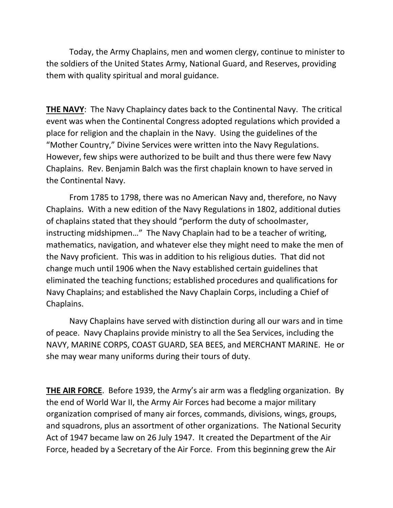Today, the Army Chaplains, men and women clergy, continue to minister to the soldiers of the United States Army, National Guard, and Reserves, providing them with quality spiritual and moral guidance.

**THE NAVY**: The Navy Chaplaincy dates back to the Continental Navy. The critical event was when the Continental Congress adopted regulations which provided a place for religion and the chaplain in the Navy. Using the guidelines of the "Mother Country," Divine Services were written into the Navy Regulations. However, few ships were authorized to be built and thus there were few Navy Chaplains. Rev. Benjamin Balch was the first chaplain known to have served in the Continental Navy.

From 1785 to 1798, there was no American Navy and, therefore, no Navy Chaplains. With a new edition of the Navy Regulations in 1802, additional duties of chaplains stated that they should "perform the duty of schoolmaster, instructing midshipmen…" The Navy Chaplain had to be a teacher of writing, mathematics, navigation, and whatever else they might need to make the men of the Navy proficient. This was in addition to his religious duties. That did not change much until 1906 when the Navy established certain guidelines that eliminated the teaching functions; established procedures and qualifications for Navy Chaplains; and established the Navy Chaplain Corps, including a Chief of Chaplains.

Navy Chaplains have served with distinction during all our wars and in time of peace. Navy Chaplains provide ministry to all the Sea Services, including the NAVY, MARINE CORPS, COAST GUARD, SEA BEES, and MERCHANT MARINE. He or she may wear many uniforms during their tours of duty.

**THE AIR FORCE**. Before 1939, the Army's air arm was a fledgling organization. By the end of World War II, the Army Air Forces had become a major military organization comprised of many air forces, commands, divisions, wings, groups, and squadrons, plus an assortment of other organizations. The National Security Act of 1947 became law on 26 July 1947. It created the Department of the Air Force, headed by a Secretary of the Air Force. From this beginning grew the Air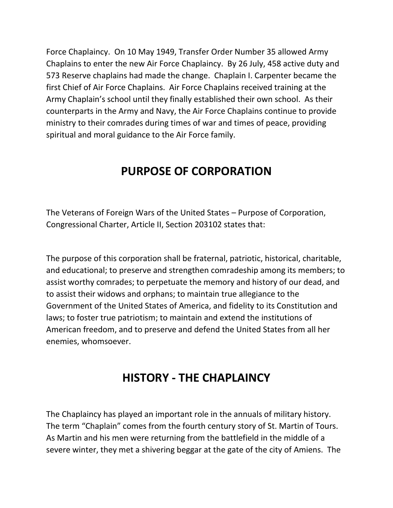Force Chaplaincy. On 10 May 1949, Transfer Order Number 35 allowed Army Chaplains to enter the new Air Force Chaplaincy. By 26 July, 458 active duty and 573 Reserve chaplains had made the change. Chaplain I. Carpenter became the first Chief of Air Force Chaplains. Air Force Chaplains received training at the Army Chaplain's school until they finally established their own school. As their counterparts in the Army and Navy, the Air Force Chaplains continue to provide ministry to their comrades during times of war and times of peace, providing spiritual and moral guidance to the Air Force family.

### **PURPOSE OF CORPORATION**

The Veterans of Foreign Wars of the United States – Purpose of Corporation, Congressional Charter, Article II, Section 203102 states that:

The purpose of this corporation shall be fraternal, patriotic, historical, charitable, and educational; to preserve and strengthen comradeship among its members; to assist worthy comrades; to perpetuate the memory and history of our dead, and to assist their widows and orphans; to maintain true allegiance to the Government of the United States of America, and fidelity to its Constitution and laws; to foster true patriotism; to maintain and extend the institutions of American freedom, and to preserve and defend the United States from all her enemies, whomsoever.

#### **HISTORY - THE CHAPLAINCY**

The Chaplaincy has played an important role in the annuals of military history. The term "Chaplain" comes from the fourth century story of St. Martin of Tours. As Martin and his men were returning from the battlefield in the middle of a severe winter, they met a shivering beggar at the gate of the city of Amiens. The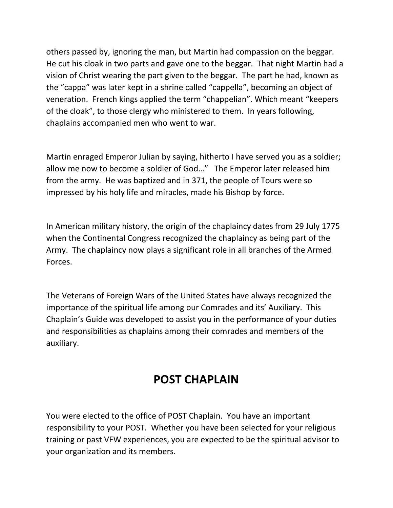others passed by, ignoring the man, but Martin had compassion on the beggar. He cut his cloak in two parts and gave one to the beggar. That night Martin had a vision of Christ wearing the part given to the beggar. The part he had, known as the "cappa" was later kept in a shrine called "cappella", becoming an object of veneration. French kings applied the term "chappelian". Which meant "keepers of the cloak", to those clergy who ministered to them. In years following, chaplains accompanied men who went to war.

Martin enraged Emperor Julian by saying, hitherto I have served you as a soldier; allow me now to become a soldier of God…" The Emperor later released him from the army. He was baptized and in 371, the people of Tours were so impressed by his holy life and miracles, made his Bishop by force.

In American military history, the origin of the chaplaincy dates from 29 July 1775 when the Continental Congress recognized the chaplaincy as being part of the Army. The chaplaincy now plays a significant role in all branches of the Armed Forces.

The Veterans of Foreign Wars of the United States have always recognized the importance of the spiritual life among our Comrades and its' Auxiliary. This Chaplain's Guide was developed to assist you in the performance of your duties and responsibilities as chaplains among their comrades and members of the auxiliary.

### **POST CHAPLAIN**

You were elected to the office of POST Chaplain. You have an important responsibility to your POST. Whether you have been selected for your religious training or past VFW experiences, you are expected to be the spiritual advisor to your organization and its members.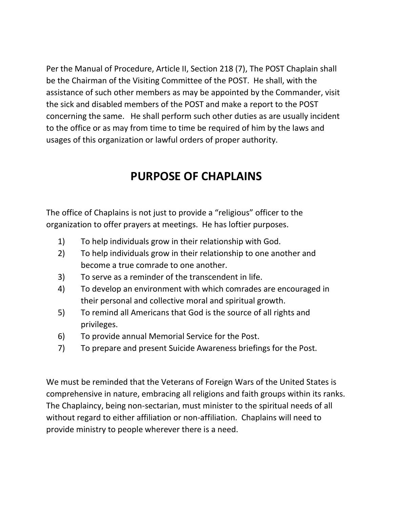Per the Manual of Procedure, Article II, Section 218 (7), The POST Chaplain shall be the Chairman of the Visiting Committee of the POST. He shall, with the assistance of such other members as may be appointed by the Commander, visit the sick and disabled members of the POST and make a report to the POST concerning the same. He shall perform such other duties as are usually incident to the office or as may from time to time be required of him by the laws and usages of this organization or lawful orders of proper authority.

### **PURPOSE OF CHAPLAINS**

The office of Chaplains is not just to provide a "religious" officer to the organization to offer prayers at meetings. He has loftier purposes.

- 1) To help individuals grow in their relationship with God.
- 2) To help individuals grow in their relationship to one another and become a true comrade to one another.
- 3) To serve as a reminder of the transcendent in life.
- 4) To develop an environment with which comrades are encouraged in their personal and collective moral and spiritual growth.
- 5) To remind all Americans that God is the source of all rights and privileges.
- 6) To provide annual Memorial Service for the Post.
- 7) To prepare and present Suicide Awareness briefings for the Post.

We must be reminded that the Veterans of Foreign Wars of the United States is comprehensive in nature, embracing all religions and faith groups within its ranks. The Chaplaincy, being non-sectarian, must minister to the spiritual needs of all without regard to either affiliation or non-affiliation. Chaplains will need to provide ministry to people wherever there is a need.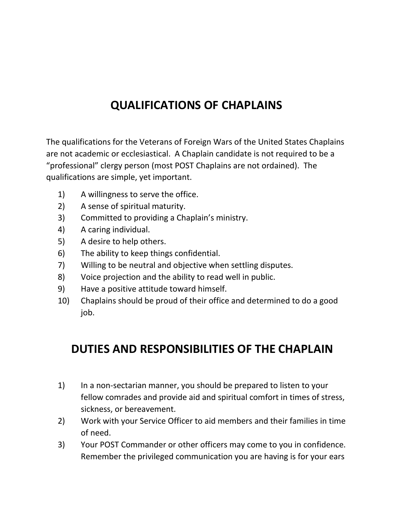### **QUALIFICATIONS OF CHAPLAINS**

The qualifications for the Veterans of Foreign Wars of the United States Chaplains are not academic or ecclesiastical. A Chaplain candidate is not required to be a "professional" clergy person (most POST Chaplains are not ordained). The qualifications are simple, yet important.

- 1) A willingness to serve the office.
- 2) A sense of spiritual maturity.
- 3) Committed to providing a Chaplain's ministry.
- 4) A caring individual.
- 5) A desire to help others.
- 6) The ability to keep things confidential.
- 7) Willing to be neutral and objective when settling disputes.
- 8) Voice projection and the ability to read well in public.
- 9) Have a positive attitude toward himself.
- 10) Chaplains should be proud of their office and determined to do a good job.

### **DUTIES AND RESPONSIBILITIES OF THE CHAPLAIN**

- 1) In a non-sectarian manner, you should be prepared to listen to your fellow comrades and provide aid and spiritual comfort in times of stress, sickness, or bereavement.
- 2) Work with your Service Officer to aid members and their families in time of need.
- 3) Your POST Commander or other officers may come to you in confidence. Remember the privileged communication you are having is for your ears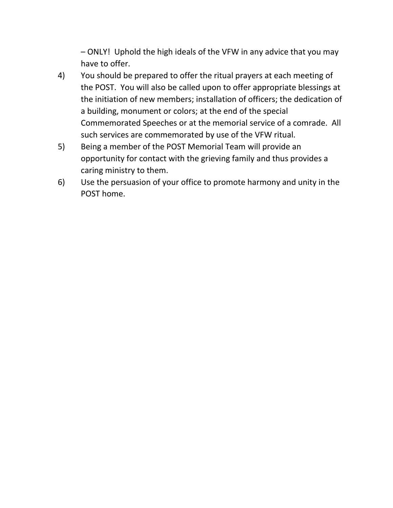– ONLY! Uphold the high ideals of the VFW in any advice that you may have to offer.

- 4) You should be prepared to offer the ritual prayers at each meeting of the POST. You will also be called upon to offer appropriate blessings at the initiation of new members; installation of officers; the dedication of a building, monument or colors; at the end of the special Commemorated Speeches or at the memorial service of a comrade. All such services are commemorated by use of the VFW ritual.
- 5) Being a member of the POST Memorial Team will provide an opportunity for contact with the grieving family and thus provides a caring ministry to them.
- 6) Use the persuasion of your office to promote harmony and unity in the POST home.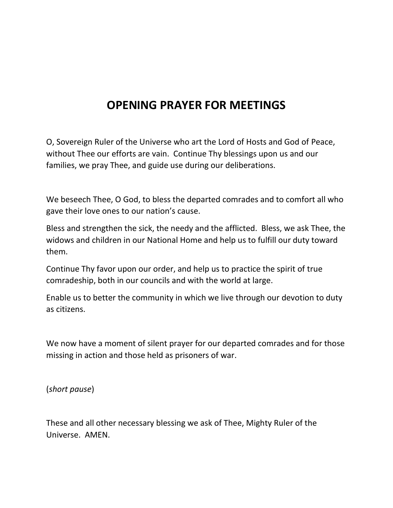### **OPENING PRAYER FOR MEETINGS**

O, Sovereign Ruler of the Universe who art the Lord of Hosts and God of Peace, without Thee our efforts are vain. Continue Thy blessings upon us and our families, we pray Thee, and guide use during our deliberations.

We beseech Thee, O God, to bless the departed comrades and to comfort all who gave their love ones to our nation's cause.

Bless and strengthen the sick, the needy and the afflicted. Bless, we ask Thee, the widows and children in our National Home and help us to fulfill our duty toward them.

Continue Thy favor upon our order, and help us to practice the spirit of true comradeship, both in our councils and with the world at large.

Enable us to better the community in which we live through our devotion to duty as citizens.

We now have a moment of silent prayer for our departed comrades and for those missing in action and those held as prisoners of war.

(*short pause*)

These and all other necessary blessing we ask of Thee, Mighty Ruler of the Universe. AMEN.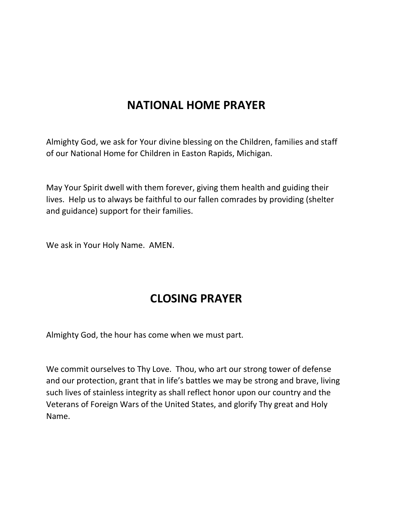### **NATIONAL HOME PRAYER**

Almighty God, we ask for Your divine blessing on the Children, families and staff of our National Home for Children in Easton Rapids, Michigan.

May Your Spirit dwell with them forever, giving them health and guiding their lives. Help us to always be faithful to our fallen comrades by providing (shelter and guidance) support for their families.

We ask in Your Holy Name. AMEN.

### **CLOSING PRAYER**

Almighty God, the hour has come when we must part.

We commit ourselves to Thy Love. Thou, who art our strong tower of defense and our protection, grant that in life's battles we may be strong and brave, living such lives of stainless integrity as shall reflect honor upon our country and the Veterans of Foreign Wars of the United States, and glorify Thy great and Holy Name.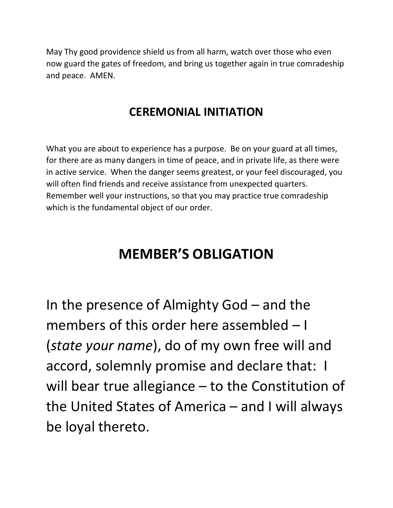May Thy good providence shield us from all harm, watch over those who even now guard the gates of freedom, and bring us together again in true comradeship and peace. AMEN.

#### **CEREMONIAL INITIATION**

What you are about to experience has a purpose. Be on your guard at all times, for there are as many dangers in time of peace, and in private life, as there were in active service. When the danger seems greatest, or your feel discouraged, you will often find friends and receive assistance from unexpected quarters. Remember well your instructions, so that you may practice true comradeship which is the fundamental object of our order.

# **MEMBER'S OBLIGATION**

In the presence of Almighty God – and the members of this order here assembled – I (*state your name*), do of my own free will and accord, solemnly promise and declare that: I will bear true allegiance – to the Constitution of the United States of America – and I will always be loyal thereto.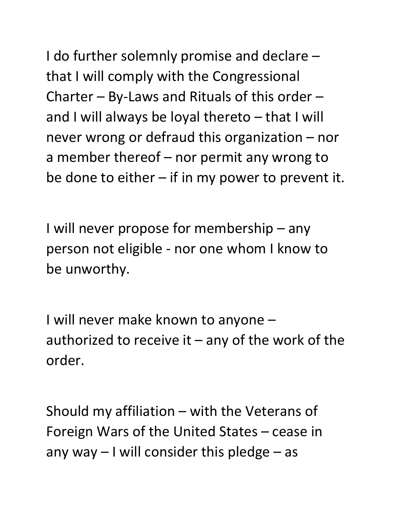I do further solemnly promise and declare – that I will comply with the Congressional Charter – By-Laws and Rituals of this order – and I will always be loyal thereto – that I will never wrong or defraud this organization – nor a member thereof – nor permit any wrong to be done to either  $-$  if in my power to prevent it.

I will never propose for membership – any person not eligible - nor one whom I know to be unworthy.

I will never make known to anyone – authorized to receive it  $-$  any of the work of the order.

Should my affiliation – with the Veterans of Foreign Wars of the United States – cease in any way  $-1$  will consider this pledge  $-$  as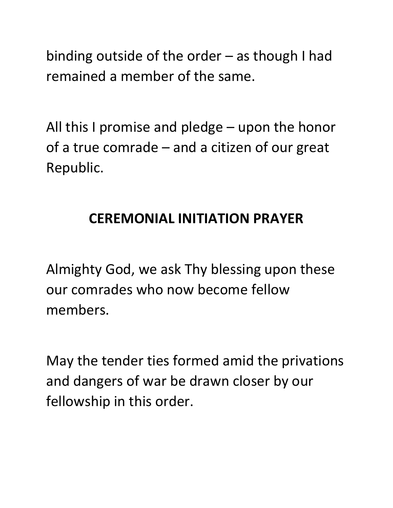binding outside of the order – as though I had remained a member of the same.

All this I promise and pledge – upon the honor of a true comrade – and a citizen of our great Republic.

# **CEREMONIAL INITIATION PRAYER**

Almighty God, we ask Thy blessing upon these our comrades who now become fellow members.

May the tender ties formed amid the privations and dangers of war be drawn closer by our fellowship in this order.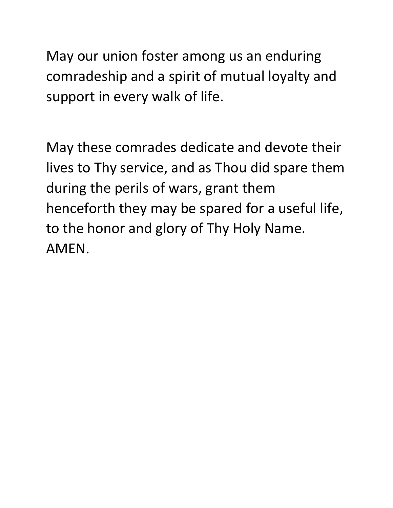May our union foster among us an enduring comradeship and a spirit of mutual loyalty and support in every walk of life.

May these comrades dedicate and devote their lives to Thy service, and as Thou did spare them during the perils of wars, grant them henceforth they may be spared for a useful life, to the honor and glory of Thy Holy Name. AMEN.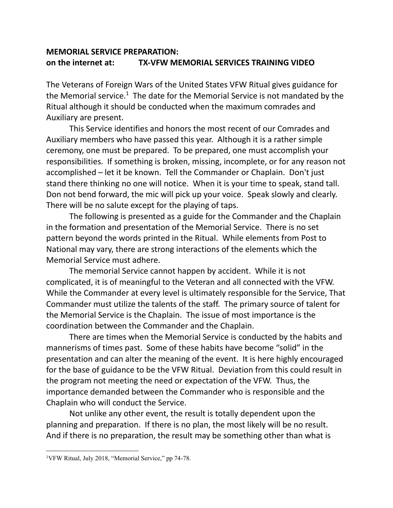#### **MEMORIAL SERVICE PREPARATION: on the internet at: TX-VFW MEMORIAL SERVICES TRAINING VIDEO**

The Veterans of Foreign Wars of the United States VFW Ritual gives guidance for the Memorial service.<sup>1</sup> The date for the Memorial Service is not mandated by the Ritual although it should be conducted when the maximum comrades and Auxiliary are present.

This Service identifies and honors the most recent of our Comrades and Auxiliary members who have passed this year. Although it is a rather simple ceremony, one must be prepared. To be prepared, one must accomplish your responsibilities. If something is broken, missing, incomplete, or for any reason not accomplished – let it be known. Tell the Commander or Chaplain. Don't just stand there thinking no one will notice. When it is your time to speak, stand tall. Don not bend forward, the mic will pick up your voice. Speak slowly and clearly. There will be no salute except for the playing of taps.

The following is presented as a guide for the Commander and the Chaplain in the formation and presentation of the Memorial Service. There is no set pattern beyond the words printed in the Ritual. While elements from Post to National may vary, there are strong interactions of the elements which the Memorial Service must adhere.

The memorial Service cannot happen by accident. While it is not complicated, it is of meaningful to the Veteran and all connected with the VFW. While the Commander at every level is ultimately responsible for the Service, That Commander must utilize the talents of the staff. The primary source of talent for the Memorial Service is the Chaplain. The issue of most importance is the coordination between the Commander and the Chaplain.

There are times when the Memorial Service is conducted by the habits and mannerisms of times past. Some of these habits have become "solid" in the presentation and can alter the meaning of the event. It is here highly encouraged for the base of guidance to be the VFW Ritual. Deviation from this could result in the program not meeting the need or expectation of the VFW. Thus, the importance demanded between the Commander who is responsible and the Chaplain who will conduct the Service.

Not unlike any other event, the result is totally dependent upon the planning and preparation. If there is no plan, the most likely will be no result. And if there is no preparation, the result may be something other than what is

<sup>1</sup>VFW Ritual, July 2018, "Memorial Service," pp 74-78.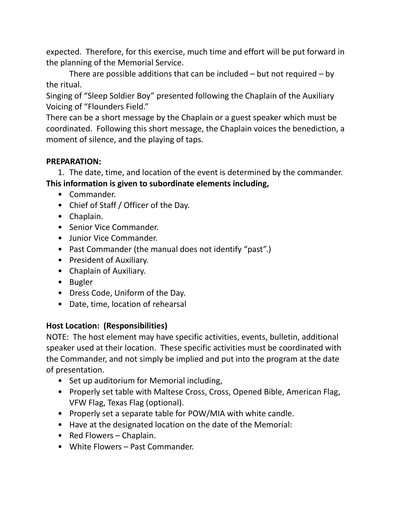expected. Therefore, for this exercise, much time and effort will be put forward in the planning of the Memorial Service.

There are possible additions that can be included  $-$  but not required  $-$  by the ritual.

Singing of "Sleep Soldier Boy" presented following the Chaplain of the Auxiliary Voicing of "Flounders Field."

There can be a short message by the Chaplain or a guest speaker which must be coordinated. Following this short message, the Chaplain voices the benediction, a moment of silence, and the playing of taps.

#### **PREPARATION:**

1. The date, time, and location of the event is determined by the commander. **This information is given to subordinate elements including,**

- Commander.
- Chief of Staff / Officer of the Day.
- Chaplain.
- Senior Vice Commander.
- Junior Vice Commander.
- Past Commander (the manual does not identify "past".)
- President of Auxiliary.
- Chaplain of Auxiliary.
- Bugler
- Dress Code, Uniform of the Day.
- Date, time, location of rehearsal

#### **Host Location: (Responsibilities)**

NOTE: The host element may have specific activities, events, bulletin, additional speaker used at their location. These specific activities must be coordinated with the Commander, and not simply be implied and put into the program at the date of presentation.

- Set up auditorium for Memorial including,
- Properly set table with Maltese Cross, Cross, Opened Bible, American Flag, VFW Flag, Texas Flag (optional).
- Properly set a separate table for POW/MIA with white candle.
- Have at the designated location on the date of the Memorial:
- Red Flowers Chaplain.
- White Flowers Past Commander.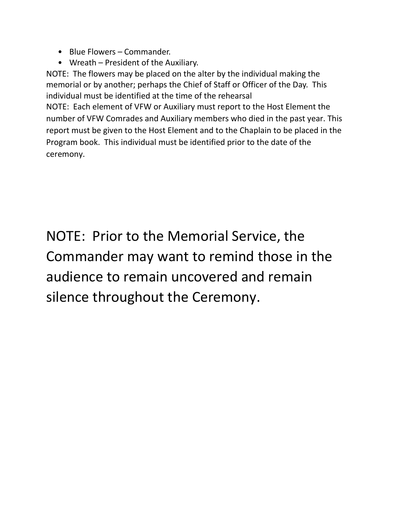- Blue Flowers Commander.
- Wreath President of the Auxiliary.

NOTE: The flowers may be placed on the alter by the individual making the memorial or by another; perhaps the Chief of Staff or Officer of the Day. This individual must be identified at the time of the rehearsal NOTE: Each element of VFW or Auxiliary must report to the Host Element the number of VFW Comrades and Auxiliary members who died in the past year. This report must be given to the Host Element and to the Chaplain to be placed in the

Program book. This individual must be identified prior to the date of the ceremony.

NOTE: Prior to the Memorial Service, the Commander may want to remind those in the audience to remain uncovered and remain silence throughout the Ceremony.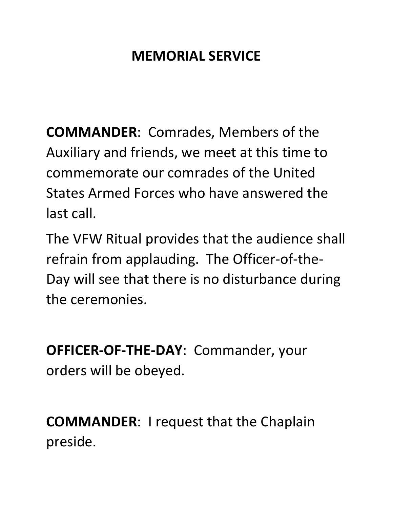# **MEMORIAL SERVICE**

**COMMANDER**: Comrades, Members of the Auxiliary and friends, we meet at this time to commemorate our comrades of the United States Armed Forces who have answered the last call.

The VFW Ritual provides that the audience shall refrain from applauding. The Officer-of-the-Day will see that there is no disturbance during the ceremonies.

**OFFICER-OF-THE-DAY**: Commander, your orders will be obeyed.

**COMMANDER**: I request that the Chaplain preside.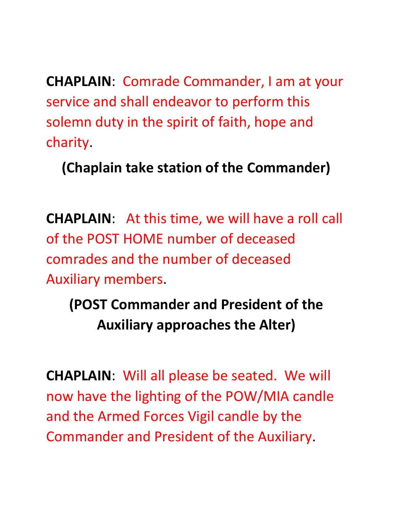**CHAPLAIN**: Comrade Commander, I am at your service and shall endeavor to perform this solemn duty in the spirit of faith, hope and charity.

**(Chaplain take station of the Commander)**

**CHAPLAIN**: At this time, we will have a roll call of the POST HOME number of deceased comrades and the number of deceased Auxiliary members.

**(POST Commander and President of the Auxiliary approaches the Alter)**

**CHAPLAIN**: Will all please be seated. We will now have the lighting of the POW/MIA candle and the Armed Forces Vigil candle by the Commander and President of the Auxiliary.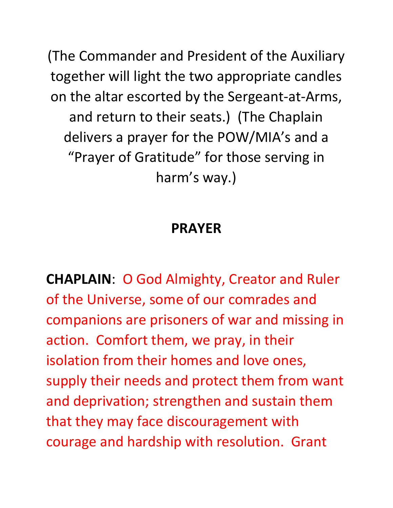(The Commander and President of the Auxiliary together will light the two appropriate candles on the altar escorted by the Sergeant-at-Arms, and return to their seats.) (The Chaplain delivers a prayer for the POW/MIA's and a "Prayer of Gratitude" for those serving in harm's way.)

# **PRAYER**

**CHAPLAIN**: O God Almighty, Creator and Ruler of the Universe, some of our comrades and companions are prisoners of war and missing in action. Comfort them, we pray, in their isolation from their homes and love ones, supply their needs and protect them from want and deprivation; strengthen and sustain them that they may face discouragement with courage and hardship with resolution. Grant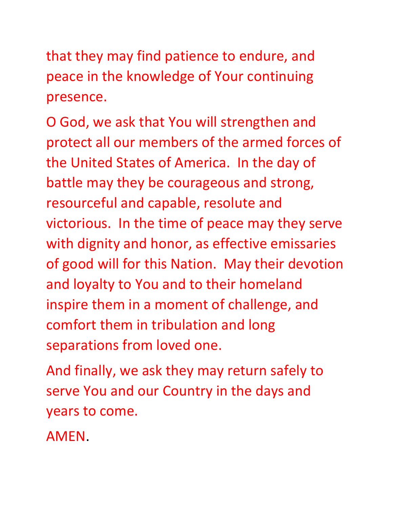that they may find patience to endure, and peace in the knowledge of Your continuing presence.

O God, we ask that You will strengthen and protect all our members of the armed forces of the United States of America. In the day of battle may they be courageous and strong, resourceful and capable, resolute and victorious. In the time of peace may they serve with dignity and honor, as effective emissaries of good will for this Nation. May their devotion and loyalty to You and to their homeland inspire them in a moment of challenge, and comfort them in tribulation and long separations from loved one.

And finally, we ask they may return safely to serve You and our Country in the days and years to come.

AMEN.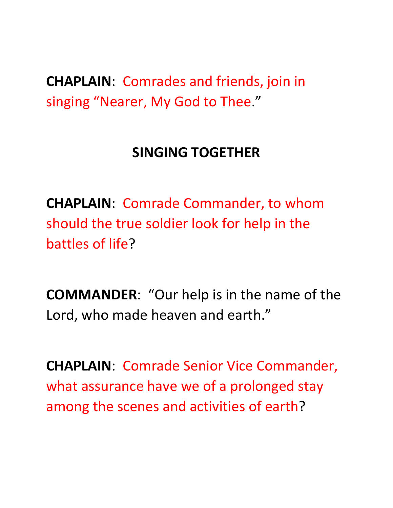**CHAPLAIN**: Comrades and friends, join in singing "Nearer, My God to Thee."

## **SINGING TOGETHER**

**CHAPLAIN**: Comrade Commander, to whom should the true soldier look for help in the battles of life?

**COMMANDER**: "Our help is in the name of the Lord, who made heaven and earth."

**CHAPLAIN**: Comrade Senior Vice Commander, what assurance have we of a prolonged stay among the scenes and activities of earth?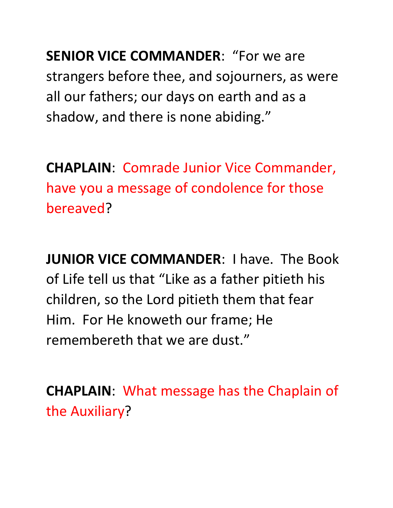**SENIOR VICE COMMANDER**: "For we are strangers before thee, and sojourners, as were all our fathers; our days on earth and as a shadow, and there is none abiding."

**CHAPLAIN**: Comrade Junior Vice Commander, have you a message of condolence for those bereaved?

**JUNIOR VICE COMMANDER**: I have. The Book of Life tell us that "Like as a father pitieth his children, so the Lord pitieth them that fear Him. For He knoweth our frame; He remembereth that we are dust."

**CHAPLAIN**: What message has the Chaplain of the Auxiliary?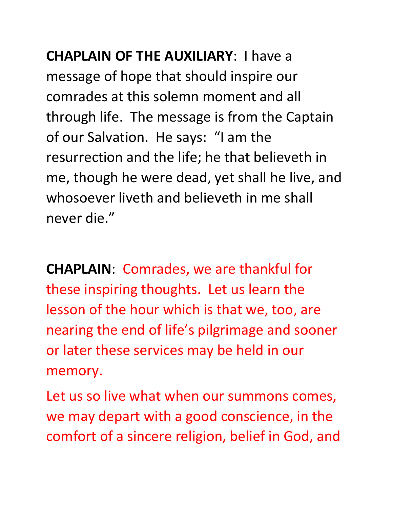**CHAPLAIN OF THE AUXILIARY**: I have a message of hope that should inspire our comrades at this solemn moment and all through life. The message is from the Captain of our Salvation. He says: "I am the resurrection and the life; he that believeth in me, though he were dead, yet shall he live, and whosoever liveth and believeth in me shall never die."

**CHAPLAIN**: Comrades, we are thankful for these inspiring thoughts. Let us learn the lesson of the hour which is that we, too, are nearing the end of life's pilgrimage and sooner or later these services may be held in our memory.

Let us so live what when our summons comes, we may depart with a good conscience, in the comfort of a sincere religion, belief in God, and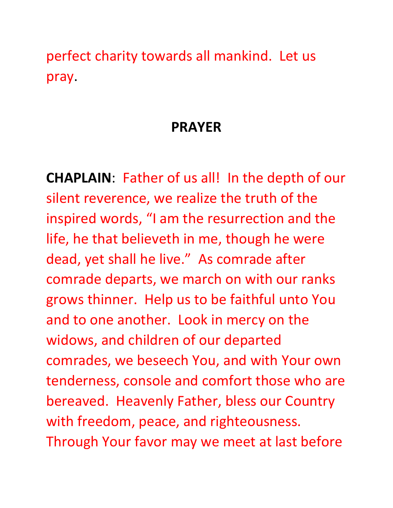perfect charity towards all mankind. Let us pray.

### **PRAYER**

**CHAPLAIN**: Father of us all! In the depth of our silent reverence, we realize the truth of the inspired words, "I am the resurrection and the life, he that believeth in me, though he were dead, yet shall he live." As comrade after comrade departs, we march on with our ranks grows thinner. Help us to be faithful unto You and to one another. Look in mercy on the widows, and children of our departed comrades, we beseech You, and with Your own tenderness, console and comfort those who are bereaved. Heavenly Father, bless our Country with freedom, peace, and righteousness. Through Your favor may we meet at last before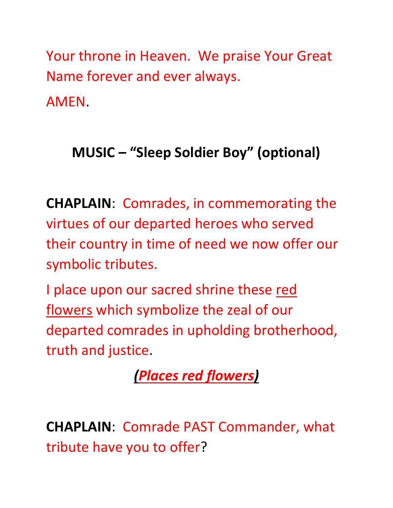Your throne in Heaven. We praise Your Great Name forever and ever always. AMEN.

# **MUSIC – "Sleep Soldier Boy" (optional)**

**CHAPLAIN**: Comrades, in commemorating the virtues of our departed heroes who served their country in time of need we now offer our symbolic tributes.

I place upon our sacred shrine these red flowers which symbolize the zeal of our departed comrades in upholding brotherhood, truth and justice.

*(Places red flowers)*

**CHAPLAIN**: Comrade PAST Commander, what tribute have you to offer?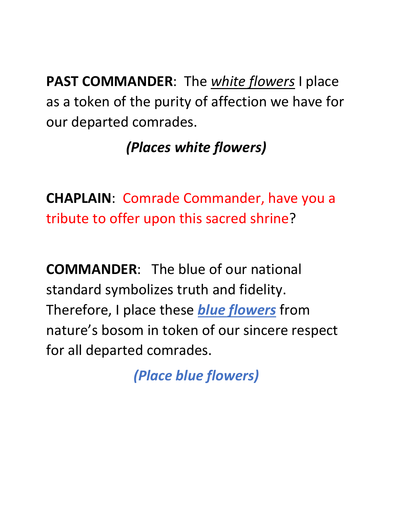**PAST COMMANDER**: The *white flowers* I place as a token of the purity of affection we have for our departed comrades.

# *(Places white flowers)*

**CHAPLAIN**: Comrade Commander, have you a tribute to offer upon this sacred shrine?

**COMMANDER**: The blue of our national standard symbolizes truth and fidelity. Therefore, I place these *blue flowers* from nature's bosom in token of our sincere respect for all departed comrades.

*(Place blue flowers)*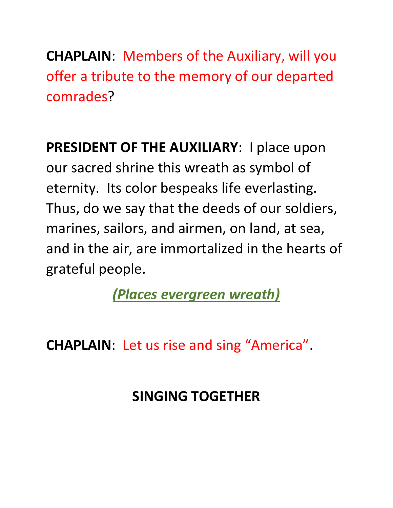**CHAPLAIN**: Members of the Auxiliary, will you offer a tribute to the memory of our departed comrades?

**PRESIDENT OF THE AUXILIARY**: I place upon our sacred shrine this wreath as symbol of eternity. Its color bespeaks life everlasting. Thus, do we say that the deeds of our soldiers, marines, sailors, and airmen, on land, at sea, and in the air, are immortalized in the hearts of grateful people.

*(Places evergreen wreath)*

**CHAPLAIN**: Let us rise and sing "America".

# **SINGING TOGETHER**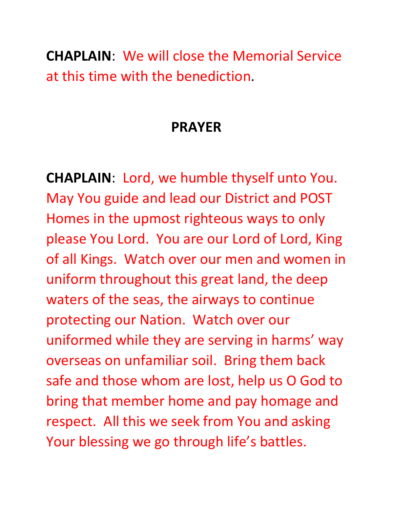**CHAPLAIN**: We will close the Memorial Service at this time with the benediction.

### **PRAYER**

**CHAPLAIN**: Lord, we humble thyself unto You. May You guide and lead our District and POST Homes in the upmost righteous ways to only please You Lord. You are our Lord of Lord, King of all Kings. Watch over our men and women in uniform throughout this great land, the deep waters of the seas, the airways to continue protecting our Nation. Watch over our uniformed while they are serving in harms' way overseas on unfamiliar soil. Bring them back safe and those whom are lost, help us O God to bring that member home and pay homage and respect. All this we seek from You and asking Your blessing we go through life's battles.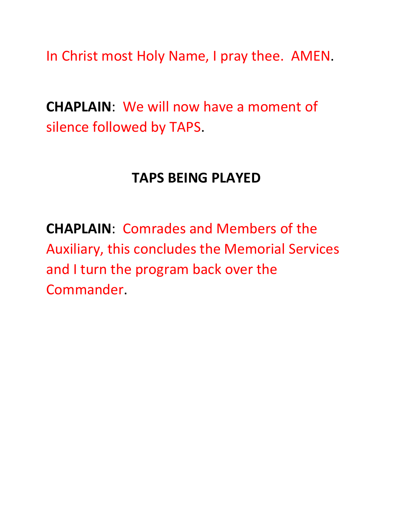In Christ most Holy Name, I pray thee. AMEN.

**CHAPLAIN**: We will now have a moment of silence followed by TAPS.

#### **TAPS BEING PLAYED**

**CHAPLAIN**: Comrades and Members of the Auxiliary, this concludes the Memorial Services and I turn the program back over the Commander.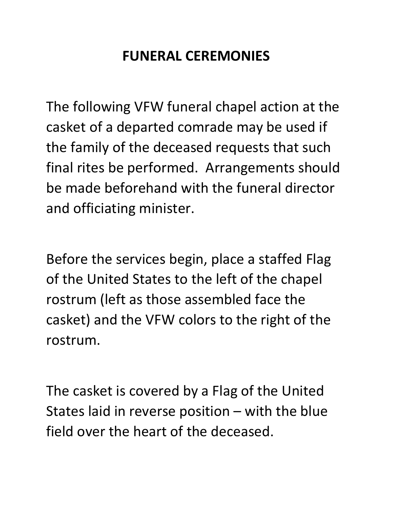# **FUNERAL CEREMONIES**

The following VFW funeral chapel action at the casket of a departed comrade may be used if the family of the deceased requests that such final rites be performed. Arrangements should be made beforehand with the funeral director and officiating minister.

Before the services begin, place a staffed Flag of the United States to the left of the chapel rostrum (left as those assembled face the casket) and the VFW colors to the right of the rostrum.

The casket is covered by a Flag of the United States laid in reverse position – with the blue field over the heart of the deceased.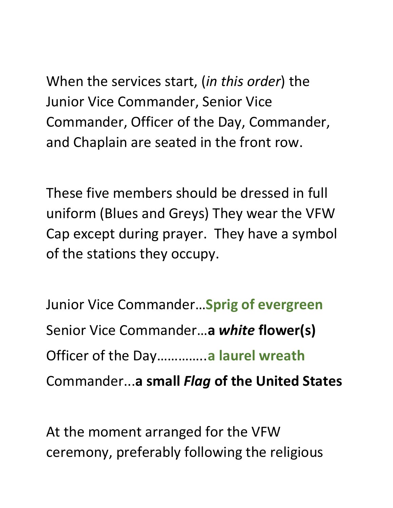When the services start, (*in this order*) the Junior Vice Commander, Senior Vice Commander, Officer of the Day, Commander, and Chaplain are seated in the front row.

These five members should be dressed in full uniform (Blues and Greys) They wear the VFW Cap except during prayer. They have a symbol of the stations they occupy.

Junior Vice Commander…**Sprig of evergreen** Senior Vice Commander…**a** *white* **flower(s)** Officer of the Day…………..**a laurel wreath** Commander...**a small** *Flag* **of the United States**

At the moment arranged for the VFW ceremony, preferably following the religious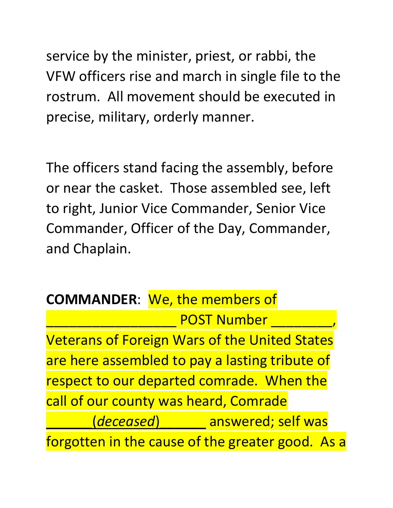service by the minister, priest, or rabbi, the VFW officers rise and march in single file to the rostrum. All movement should be executed in precise, military, orderly manner.

The officers stand facing the assembly, before or near the casket. Those assembled see, left to right, Junior Vice Commander, Senior Vice Commander, Officer of the Day, Commander, and Chaplain.

|                                                      | <b>COMMANDER:</b> We, the members of |
|------------------------------------------------------|--------------------------------------|
| <b>POST Number</b>                                   |                                      |
| <b>Veterans of Foreign Wars of the United States</b> |                                      |
| are here assembled to pay a lasting tribute of       |                                      |
| respect to our departed comrade. When the            |                                      |
| call of our county was heard, Comrade                |                                      |
|                                                      |                                      |
| forgotten in the cause of the greater good. As a     |                                      |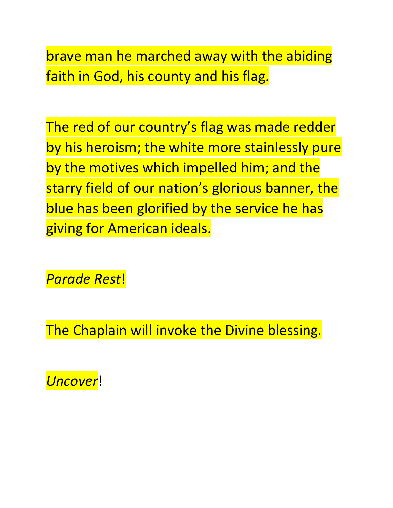brave man he marched away with the abiding faith in God, his county and his flag.

The red of our country's flag was made redder by his heroism; the white more stainlessly pure by the motives which impelled him; and the starry field of our nation's glorious banner, the blue has been glorified by the service he has giving for American ideals.

*Parade Rest*!

The Chaplain will invoke the Divine blessing.

*Uncover*!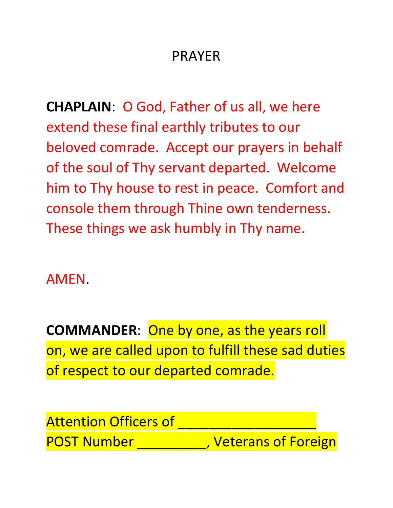# PRAYER

**CHAPLAIN**: O God, Father of us all, we here extend these final earthly tributes to our beloved comrade. Accept our prayers in behalf of the soul of Thy servant departed. Welcome him to Thy house to rest in peace. Comfort and console them through Thine own tenderness. These things we ask humbly in Thy name.

AMEN.

**COMMANDER**: One by one, as the years roll on, we are called upon to fulfill these sad duties of respect to our departed comrade.

**Attention Officers of** POST Number **Number** , Veterans of Foreign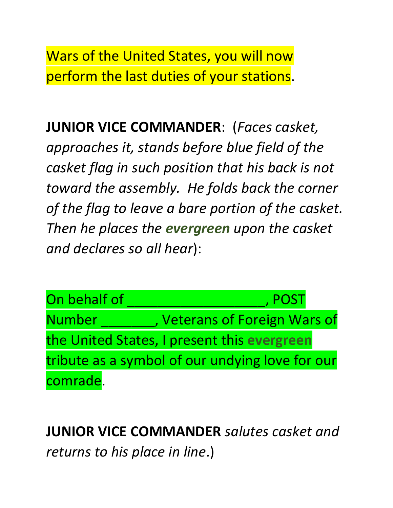Wars of the United States, you will now perform the last duties of your stations.

**JUNIOR VICE COMMANDER**: (*Faces casket, approaches it, stands before blue field of the casket flag in such position that his back is not toward the assembly. He folds back the corner of the flag to leave a bare portion of the casket. Then he places the evergreen upon the casket and declares so all hear*):



**JUNIOR VICE COMMANDER** *salutes casket and returns to his place in line*.)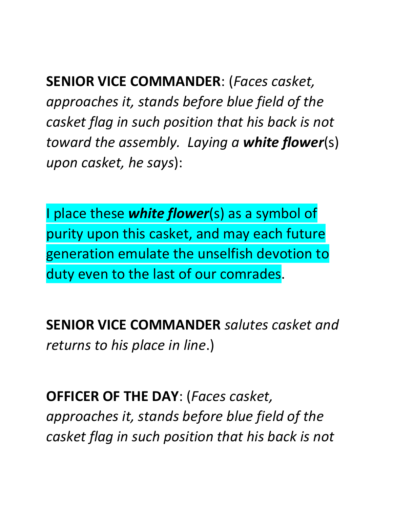**SENIOR VICE COMMANDER**: (*Faces casket, approaches it, stands before blue field of the casket flag in such position that his back is not toward the assembly. Laying a white flower*(s) *upon casket, he says*):

I place these *white flower*(s) as a symbol of purity upon this casket, and may each future generation emulate the unselfish devotion to duty even to the last of our comrades.

**SENIOR VICE COMMANDER** *salutes casket and returns to his place in line*.)

**OFFICER OF THE DAY**: (*Faces casket, approaches it, stands before blue field of the casket flag in such position that his back is not*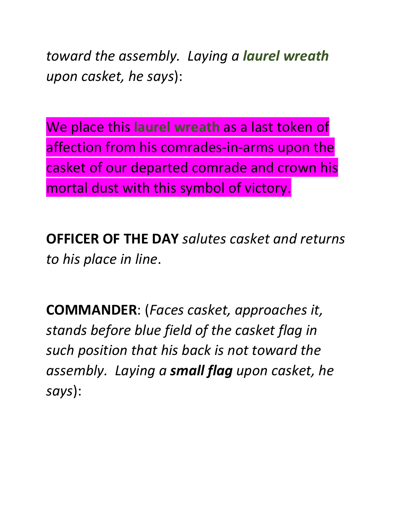*toward the assembly. Laying a laurel wreath upon casket, he says*):

We place this **laurel wreath** as a last token of affection from his comrades-in-arms upon the casket of our departed comrade and crown his mortal dust with this symbol of victory.

**OFFICER OF THE DAY** *salutes casket and returns to his place in line*.

**COMMANDER**: (*Faces casket, approaches it, stands before blue field of the casket flag in such position that his back is not toward the assembly. Laying a small flag upon casket, he says*):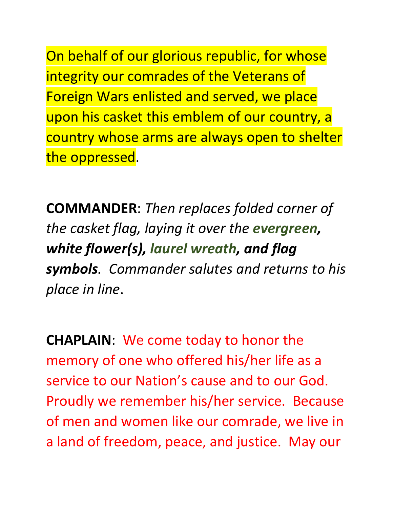On behalf of our glorious republic, for whose integrity our comrades of the Veterans of Foreign Wars enlisted and served, we place upon his casket this emblem of our country, a country whose arms are always open to shelter the oppressed.

**COMMANDER**: *Then replaces folded corner of the casket flag, laying it over the evergreen, white flower(s), laurel wreath, and flag symbols. Commander salutes and returns to his place in line*.

**CHAPLAIN**: We come today to honor the memory of one who offered his/her life as a service to our Nation's cause and to our God. Proudly we remember his/her service. Because of men and women like our comrade, we live in a land of freedom, peace, and justice. May our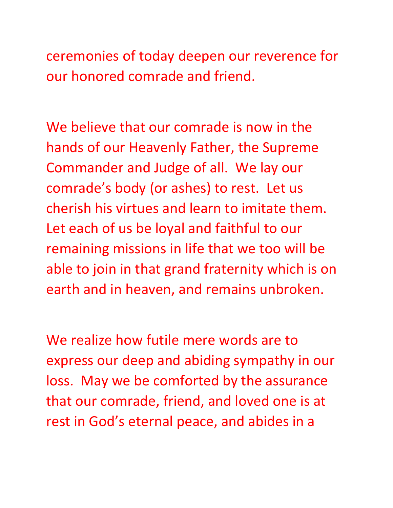ceremonies of today deepen our reverence for our honored comrade and friend.

We believe that our comrade is now in the hands of our Heavenly Father, the Supreme Commander and Judge of all. We lay our comrade's body (or ashes) to rest. Let us cherish his virtues and learn to imitate them. Let each of us be loyal and faithful to our remaining missions in life that we too will be able to join in that grand fraternity which is on earth and in heaven, and remains unbroken.

We realize how futile mere words are to express our deep and abiding sympathy in our loss. May we be comforted by the assurance that our comrade, friend, and loved one is at rest in God's eternal peace, and abides in a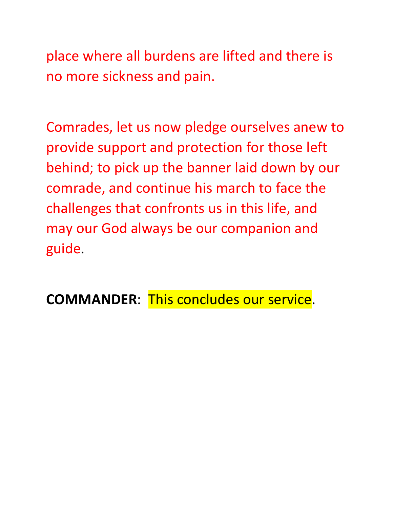place where all burdens are lifted and there is no more sickness and pain.

Comrades, let us now pledge ourselves anew to provide support and protection for those left behind; to pick up the banner laid down by our comrade, and continue his march to face the challenges that confronts us in this life, and may our God always be our companion and guide.

**COMMANDER**: This concludes our service.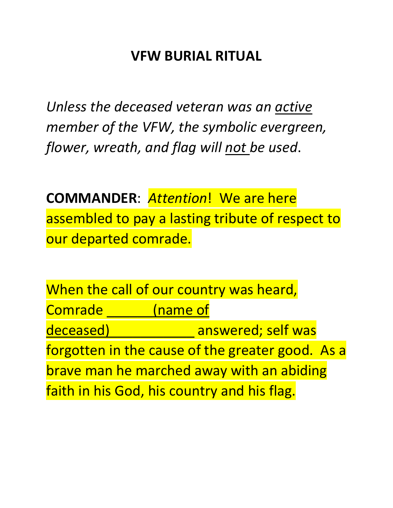# **VFW BURIAL RITUAL**

*Unless the deceased veteran was an active member of the VFW, the symbolic evergreen, flower, wreath, and flag will not be used*.

**COMMANDER**: *Attention*! We are here assembled to pay a lasting tribute of respect to our departed comrade.

When the call of our country was heard, Comrade **Comrade Comrade** deceased) \_\_\_\_\_\_\_\_\_\_\_\_ answered; self was forgotten in the cause of the greater good. As a brave man he marched away with an abiding faith in his God, his country and his flag.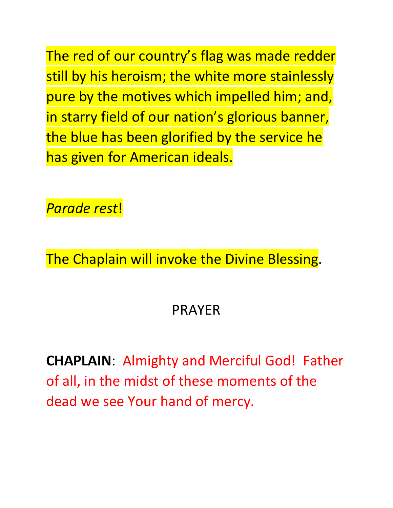The red of our country's flag was made redder still by his heroism; the white more stainlessly pure by the motives which impelled him; and, in starry field of our nation's glorious banner, the blue has been glorified by the service he has given for American ideals.

*Parade rest*!

The Chaplain will invoke the Divine Blessing.

### PRAYER

**CHAPLAIN**: Almighty and Merciful God! Father of all, in the midst of these moments of the dead we see Your hand of mercy.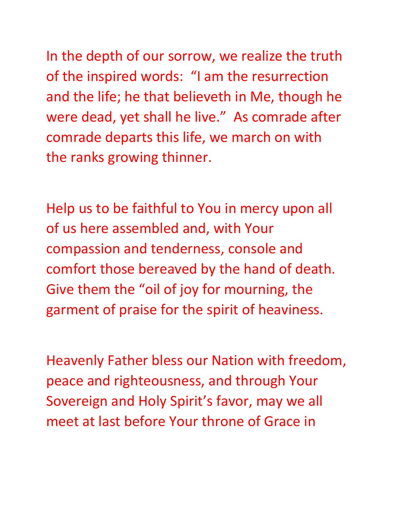In the depth of our sorrow, we realize the truth of the inspired words: "I am the resurrection and the life; he that believeth in Me, though he were dead, yet shall he live." As comrade after comrade departs this life, we march on with the ranks growing thinner.

Help us to be faithful to You in mercy upon all of us here assembled and, with Your compassion and tenderness, console and comfort those bereaved by the hand of death. Give them the "oil of joy for mourning, the garment of praise for the spirit of heaviness.

Heavenly Father bless our Nation with freedom, peace and righteousness, and through Your Sovereign and Holy Spirit's favor, may we all meet at last before Your throne of Grace in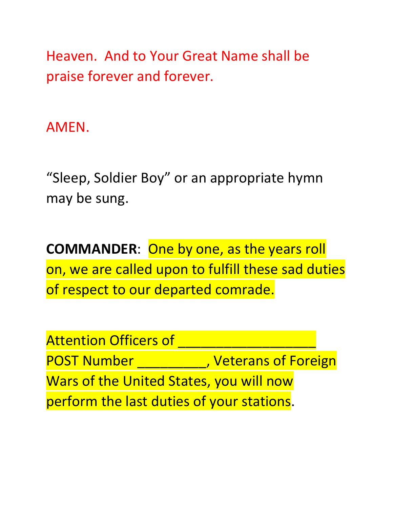Heaven. And to Your Great Name shall be praise forever and forever.

AMEN.

"Sleep, Soldier Boy" or an appropriate hymn may be sung.

**COMMANDER**: One by one, as the years roll on, we are called upon to fulfill these sad duties of respect to our departed comrade.

Attention Officers of POST Number **Number POST** Number Wars of the United States, you will now perform the last duties of your stations.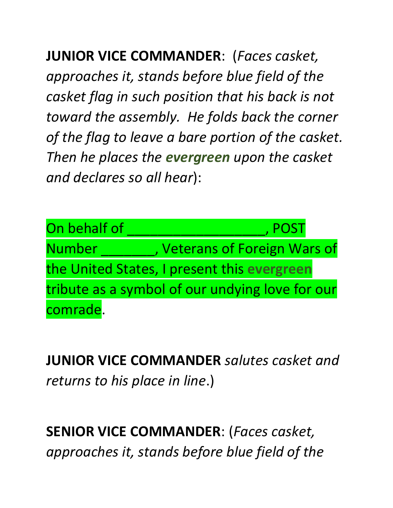**JUNIOR VICE COMMANDER**: (*Faces casket, approaches it, stands before blue field of the casket flag in such position that his back is not toward the assembly. He folds back the corner of the flag to leave a bare portion of the casket. Then he places the evergreen upon the casket and declares so all hear*):

On behalf of **All Deville Contact Contact Contact Contact Contact Contact Contact Contact Contact Contact Contact** Number \_\_\_\_\_\_\_, Veterans of Foreign Wars of the United States, I present this **evergreen** tribute as a symbol of our undying love for our comrade.

**JUNIOR VICE COMMANDER** *salutes casket and returns to his place in line*.)

**SENIOR VICE COMMANDER**: (*Faces casket, approaches it, stands before blue field of the*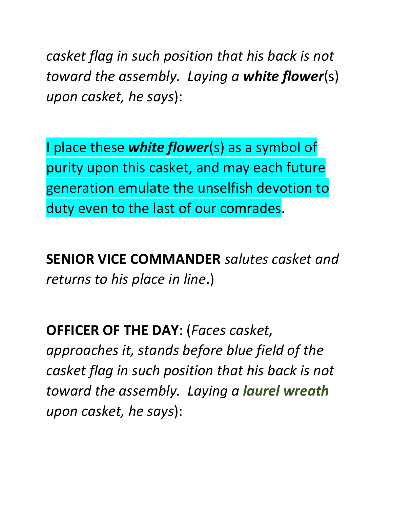*casket flag in such position that his back is not toward the assembly. Laying a white flower*(s) *upon casket, he says*):

I place these *white flower*(s) as a symbol of purity upon this casket, and may each future generation emulate the unselfish devotion to duty even to the last of our comrades.

**SENIOR VICE COMMANDER** *salutes casket and returns to his place in line*.)

**OFFICER OF THE DAY**: (*Faces casket, approaches it, stands before blue field of the casket flag in such position that his back is not toward the assembly. Laying a laurel wreath upon casket, he says*):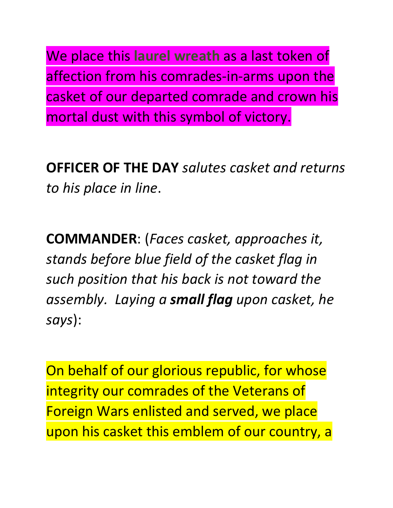We place this **laurel wreath** as a last token of affection from his comrades-in-arms upon the casket of our departed comrade and crown his mortal dust with this symbol of victory.

**OFFICER OF THE DAY** *salutes casket and returns to his place in line*.

**COMMANDER**: (*Faces casket, approaches it, stands before blue field of the casket flag in such position that his back is not toward the assembly. Laying a small flag upon casket, he says*):

On behalf of our glorious republic, for whose integrity our comrades of the Veterans of Foreign Wars enlisted and served, we place upon his casket this emblem of our country, a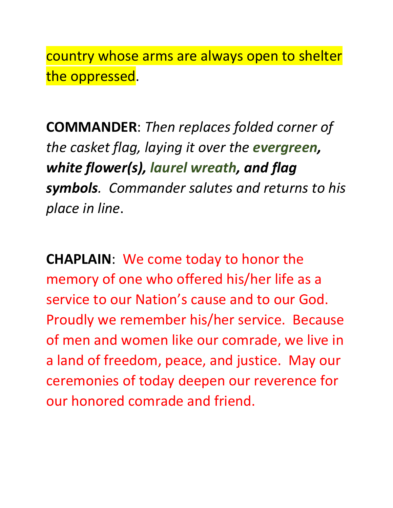country whose arms are always open to shelter the oppressed.

**COMMANDER**: *Then replaces folded corner of the casket flag, laying it over the evergreen, white flower(s), laurel wreath, and flag symbols. Commander salutes and returns to his place in line*.

**CHAPLAIN**: We come today to honor the memory of one who offered his/her life as a service to our Nation's cause and to our God. Proudly we remember his/her service. Because of men and women like our comrade, we live in a land of freedom, peace, and justice. May our ceremonies of today deepen our reverence for our honored comrade and friend.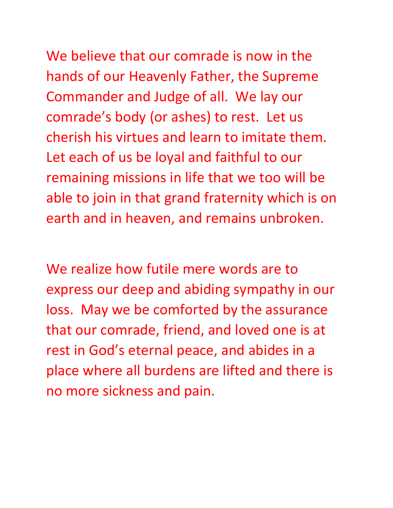We believe that our comrade is now in the hands of our Heavenly Father, the Supreme Commander and Judge of all. We lay our comrade's body (or ashes) to rest. Let us cherish his virtues and learn to imitate them. Let each of us be loyal and faithful to our remaining missions in life that we too will be able to join in that grand fraternity which is on earth and in heaven, and remains unbroken.

We realize how futile mere words are to express our deep and abiding sympathy in our loss. May we be comforted by the assurance that our comrade, friend, and loved one is at rest in God's eternal peace, and abides in a place where all burdens are lifted and there is no more sickness and pain.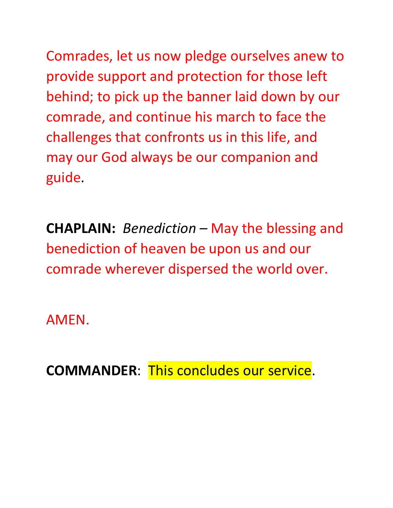Comrades, let us now pledge ourselves anew to provide support and protection for those left behind; to pick up the banner laid down by our comrade, and continue his march to face the challenges that confronts us in this life, and may our God always be our companion and guide.

**CHAPLAIN:** *Benediction* – May the blessing and benediction of heaven be upon us and our comrade wherever dispersed the world over.

AMEN.

**COMMANDER**: This concludes our service.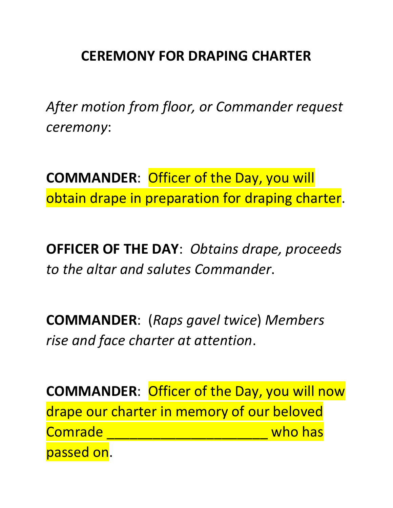# **CEREMONY FOR DRAPING CHARTER**

*After motion from floor, or Commander request ceremony*:

**COMMANDER**: Officer of the Day, you will obtain drape in preparation for draping charter.

**OFFICER OF THE DAY**: *Obtains drape, proceeds to the altar and salutes Commander*.

**COMMANDER**: (*Raps gavel twice*) *Members rise and face charter at attention*.

**COMMANDER**: Officer of the Day, you will now drape our charter in memory of our beloved Comrade \_\_\_\_\_\_\_\_\_\_\_\_\_\_\_\_\_\_\_\_\_ who has passed on.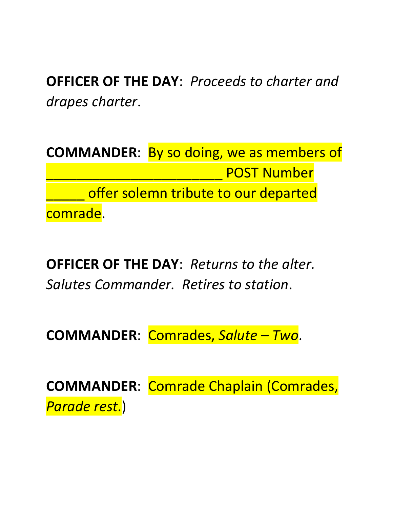**OFFICER OF THE DAY**: *Proceeds to charter and drapes charter*.

**COMMANDER**: By so doing, we as members of \_\_\_\_\_\_\_\_\_\_\_\_\_\_\_\_\_\_\_\_\_\_\_ POST Number offer solemn tribute to our departed comrade.

**OFFICER OF THE DAY**: *Returns to the alter. Salutes Commander. Retires to station*.

**COMMANDER**: Comrades, *Salute – Two*.

**COMMANDER**: Comrade Chaplain (Comrades, *Parade rest*.)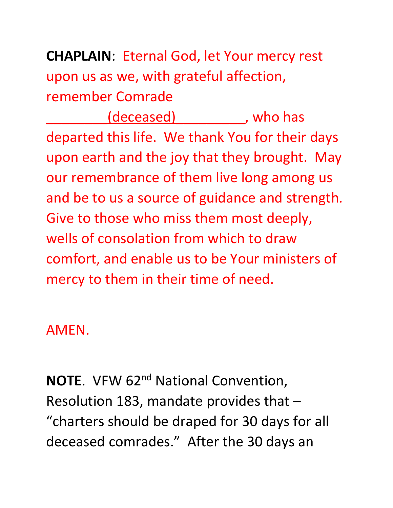# **CHAPLAIN**: Eternal God, let Your mercy rest upon us as we, with grateful affection, remember Comrade

(deceased) The subset of  $\mathsf{S}$  , who has departed this life. We thank You for their days upon earth and the joy that they brought. May our remembrance of them live long among us and be to us a source of guidance and strength. Give to those who miss them most deeply, wells of consolation from which to draw comfort, and enable us to be Your ministers of mercy to them in their time of need.

# AMEN.

**NOTE.** VFW 62<sup>nd</sup> National Convention, Resolution 183, mandate provides that – "charters should be draped for 30 days for all deceased comrades." After the 30 days an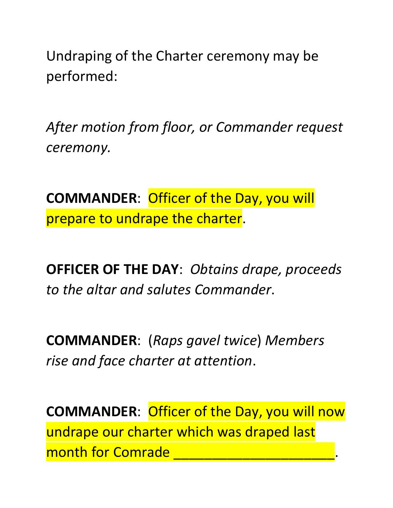Undraping of the Charter ceremony may be performed:

*After motion from floor, or Commander request ceremony.*

**COMMANDER**: Officer of the Day, you will prepare to undrape the charter.

**OFFICER OF THE DAY**: *Obtains drape, proceeds to the altar and salutes Commander*.

**COMMANDER**: (*Raps gavel twice*) *Members rise and face charter at attention*.

**COMMANDER**: Officer of the Day, you will now undrape our charter which was draped last month for Comrade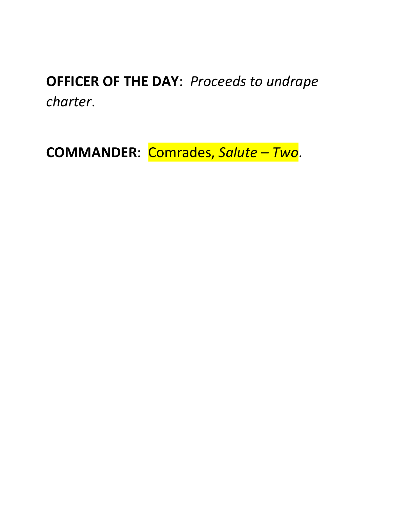**OFFICER OF THE DAY**: *Proceeds to undrape charter*.

**COMMANDER**: Comrades, *Salute – Two*.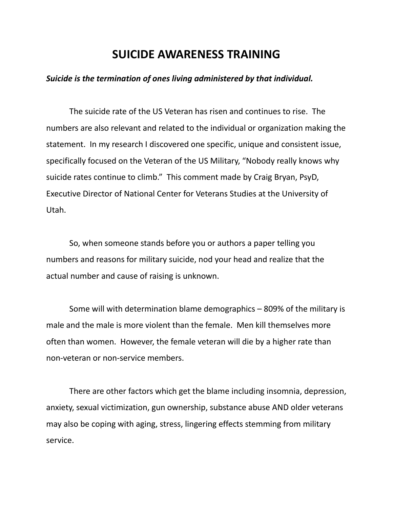#### **SUICIDE AWARENESS TRAINING**

#### *Suicide is the termination of ones living administered by that individual.*

The suicide rate of the US Veteran has risen and continues to rise. The numbers are also relevant and related to the individual or organization making the statement. In my research I discovered one specific, unique and consistent issue, specifically focused on the Veteran of the US Military, "Nobody really knows why suicide rates continue to climb." This comment made by Craig Bryan, PsyD, Executive Director of National Center for Veterans Studies at the University of Utah.

So, when someone stands before you or authors a paper telling you numbers and reasons for military suicide, nod your head and realize that the actual number and cause of raising is unknown.

Some will with determination blame demographics – 809% of the military is male and the male is more violent than the female. Men kill themselves more often than women. However, the female veteran will die by a higher rate than non-veteran or non-service members.

There are other factors which get the blame including insomnia, depression, anxiety, sexual victimization, gun ownership, substance abuse AND older veterans may also be coping with aging, stress, lingering effects stemming from military service.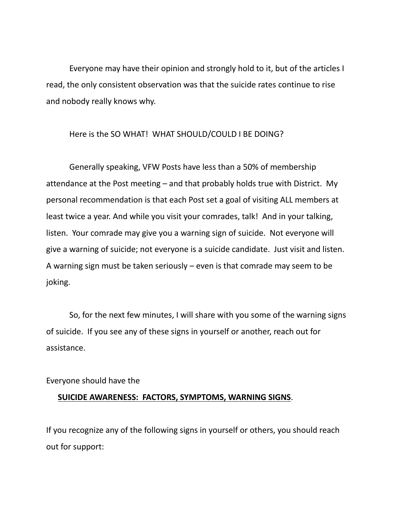Everyone may have their opinion and strongly hold to it, but of the articles I read, the only consistent observation was that the suicide rates continue to rise and nobody really knows why.

#### Here is the SO WHAT! WHAT SHOULD/COULD I BE DOING?

Generally speaking, VFW Posts have less than a 50% of membership attendance at the Post meeting – and that probably holds true with District. My personal recommendation is that each Post set a goal of visiting ALL members at least twice a year. And while you visit your comrades, talk! And in your talking, listen. Your comrade may give you a warning sign of suicide. Not everyone will give a warning of suicide; not everyone is a suicide candidate. Just visit and listen. A warning sign must be taken seriously – even is that comrade may seem to be joking.

So, for the next few minutes, I will share with you some of the warning signs of suicide. If you see any of these signs in yourself or another, reach out for assistance.

#### Everyone should have the

#### **SUICIDE AWARENESS: FACTORS, SYMPTOMS, WARNING SIGNS**.

If you recognize any of the following signs in yourself or others, you should reach out for support: